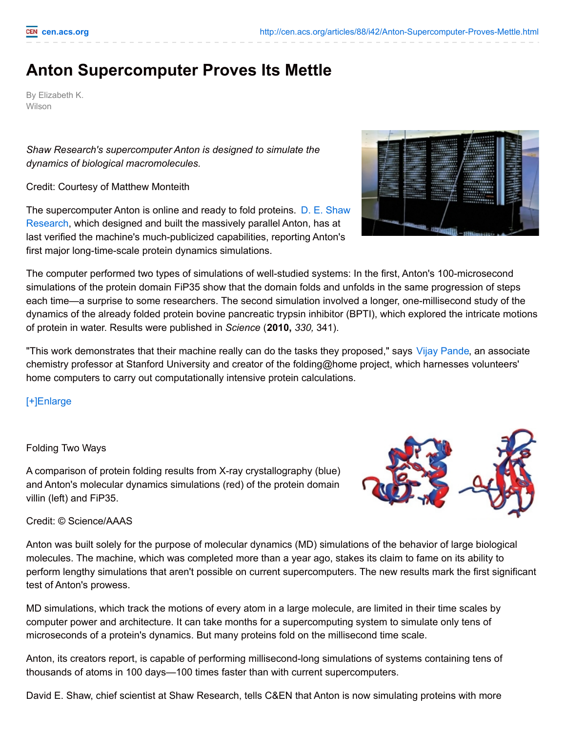## **Anton Supercomputer Proves Its Mettle**

By Elizabeth K. Wilson

*Shaw Research's supercomputer Anton is designed to simulate the dynamics of biological macromolecules.*

Credit: Courtesy of Matthew Monteith

The [supercomputer](http://www.deshawresearch.com/) Anton is online and ready to fold proteins. D. E. Shaw Research, which designed and built the massively parallel Anton, has at last verified the machine's much-publicized capabilities, reporting Anton's first major long-time-scale protein dynamics simulations.

The computer performed two types of simulations of well-studied systems: In the first, Anton's 100-microsecond simulations of the protein domain FiP35 show that the domain folds and unfolds in the same progression of steps each time—a surprise to some researchers. The second simulation involved a longer, one-millisecond study of the dynamics of the already folded protein bovine pancreatic trypsin inhibitor (BPTI), which explored the intricate motions of protein in water. Results were published in *Science* (**2010,** *330,* 341).

"This work demonstrates that their machine really can do the tasks they proposed," says Vijay [Pande](http://folding.stanford.edu/Pande/Main), an associate chemistry professor at Stanford University and creator of the folding@home project, which harnesses volunteers' home computers to carry out computationally intensive protein calculations.

[\[+\]Enlarge](javascript:doMediaModal({)

## Folding Two Ways

A comparison of protein folding results from X-ray crystallography (blue) and Anton's molecular dynamics simulations (red) of the protein domain villin (left) and FiP35.

Credit: © Science/AAAS

Anton was built solely for the purpose of molecular dynamics (MD) simulations of the behavior of large biological molecules. The machine, which was completed more than a year ago, stakes its claim to fame on its ability to perform lengthy simulations that aren't possible on current supercomputers. The new results mark the first significant test of Anton's prowess.

MD simulations, which track the motions of every atom in a large molecule, are limited in their time scales by computer power and architecture. It can take months for a supercomputing system to simulate only tens of microseconds of a protein's dynamics. But many proteins fold on the millisecond time scale.

Anton, its creators report, is capable of performing millisecond-long simulations of systems containing tens of thousands of atoms in 100 days—100 times faster than with current supercomputers.

David E. Shaw, chief scientist at Shaw Research, tells C&EN that Anton is now simulating proteins with more